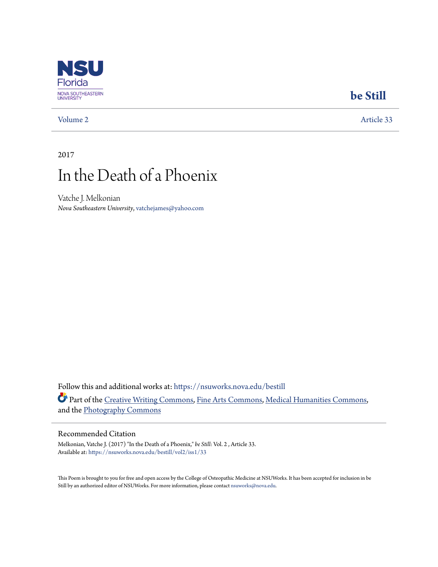

### **[be Still](https://nsuworks.nova.edu/bestill?utm_source=nsuworks.nova.edu%2Fbestill%2Fvol2%2Fiss1%2F33&utm_medium=PDF&utm_campaign=PDFCoverPages)**

[Volume 2](https://nsuworks.nova.edu/bestill/vol2?utm_source=nsuworks.nova.edu%2Fbestill%2Fvol2%2Fiss1%2F33&utm_medium=PDF&utm_campaign=PDFCoverPages) [Article 33](https://nsuworks.nova.edu/bestill/vol2/iss1/33?utm_source=nsuworks.nova.edu%2Fbestill%2Fvol2%2Fiss1%2F33&utm_medium=PDF&utm_campaign=PDFCoverPages)

2017

# In the Death of a Phoenix

Vatche J. Melkonian *Nova Southeastern University*, vatchejames@yahoo.com

Follow this and additional works at: [https://nsuworks.nova.edu/bestill](https://nsuworks.nova.edu/bestill?utm_source=nsuworks.nova.edu%2Fbestill%2Fvol2%2Fiss1%2F33&utm_medium=PDF&utm_campaign=PDFCoverPages) Part of the [Creative Writing Commons](http://network.bepress.com/hgg/discipline/574?utm_source=nsuworks.nova.edu%2Fbestill%2Fvol2%2Fiss1%2F33&utm_medium=PDF&utm_campaign=PDFCoverPages), [Fine Arts Commons,](http://network.bepress.com/hgg/discipline/1141?utm_source=nsuworks.nova.edu%2Fbestill%2Fvol2%2Fiss1%2F33&utm_medium=PDF&utm_campaign=PDFCoverPages) [Medical Humanities Commons,](http://network.bepress.com/hgg/discipline/1303?utm_source=nsuworks.nova.edu%2Fbestill%2Fvol2%2Fiss1%2F33&utm_medium=PDF&utm_campaign=PDFCoverPages) and the [Photography Commons](http://network.bepress.com/hgg/discipline/1142?utm_source=nsuworks.nova.edu%2Fbestill%2Fvol2%2Fiss1%2F33&utm_medium=PDF&utm_campaign=PDFCoverPages)

#### Recommended Citation

Melkonian, Vatche J. (2017) "In the Death of a Phoenix," *be Still*: Vol. 2 , Article 33. Available at: [https://nsuworks.nova.edu/bestill/vol2/iss1/33](https://nsuworks.nova.edu/bestill/vol2/iss1/33?utm_source=nsuworks.nova.edu%2Fbestill%2Fvol2%2Fiss1%2F33&utm_medium=PDF&utm_campaign=PDFCoverPages)

This Poem is brought to you for free and open access by the College of Osteopathic Medicine at NSUWorks. It has been accepted for inclusion in be Still by an authorized editor of NSUWorks. For more information, please contact [nsuworks@nova.edu](mailto:nsuworks@nova.edu).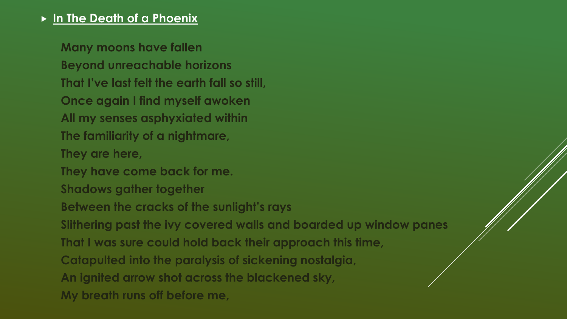## **In The Death of a Phoenix**

**Many moons have fallen Beyond unreachable horizons That I've last felt the earth fall so still, Once again I find myself awoken All my senses asphyxiated within The familiarity of a nightmare, They are here, They have come back for me. Shadows gather together Between the cracks of the sunlight's rays Slithering past the ivy covered walls and boarded up window panes That I was sure could hold back their approach this time, Catapulted into the paralysis of sickening nostalgia, An ignited arrow shot across the blackened sky, My breath runs off before me,**